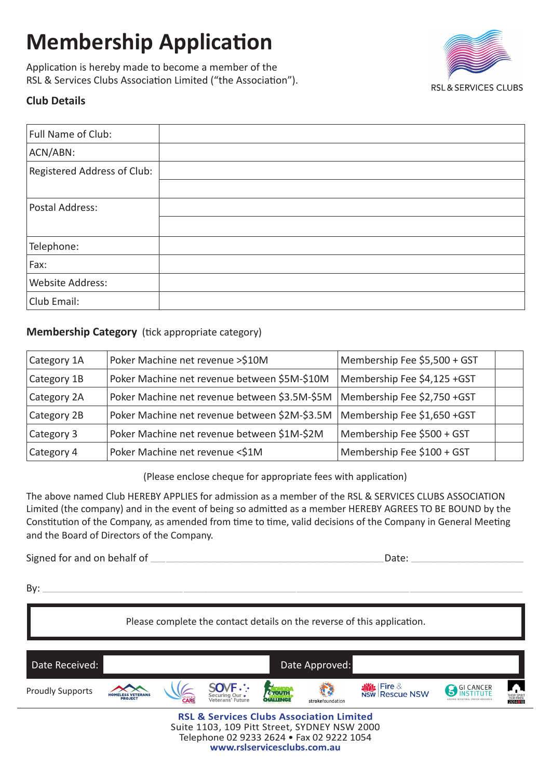# **Membership Application**

Application is hereby made to become a member of the RSL & Services Clubs Association Limited ("the Association").



## **Club Details**

| Full Name of Club:          |  |
|-----------------------------|--|
| ACN/ABN:                    |  |
| Registered Address of Club: |  |
|                             |  |
| Postal Address:             |  |
|                             |  |
| Telephone:                  |  |
| Fax:                        |  |
| Website Address:            |  |
| Club Email:                 |  |

#### **Membership Category** (tick appropriate category)

| Category 1A                                               | Poker Machine net revenue >\$10M                                             | Membership Fee \$5,500 + GST |  |
|-----------------------------------------------------------|------------------------------------------------------------------------------|------------------------------|--|
| Category 1B                                               | Poker Machine net revenue between \$5M-\$10M                                 | Membership Fee \$4,125 +GST  |  |
| Category 2A                                               | Membership Fee \$2,750 +GST<br>Poker Machine net revenue between \$3.5M-\$5M |                              |  |
| Category 2B                                               | Poker Machine net revenue between \$2M-\$3.5M                                | Membership Fee \$1,650 +GST  |  |
| Poker Machine net revenue between \$1M-\$2M<br>Category 3 |                                                                              | Membership Fee \$500 + GST   |  |
| Category 4                                                | Membership Fee \$100 + GST<br>Poker Machine net revenue <\$1M                |                              |  |

(Please enclose cheque for appropriate fees with application)

The above named Club HEREBY APPLIES for admission as a member of the RSL & SERVICES CLUBS ASSOCIATION Limited (the company) and in the event of being so admitted as a member HEREBY AGREES TO BE BOUND by the Constitution of the Company, as amended from time to time, valid decisions of the Company in General Meeting and the Board of Directors of the Company.

Signed for and on behalf of the same of the same of the same of the same of the same of the same of the same of the same of the same of the same of the same of the same of the same of the same of the same of the same of th

By: \_\_\_\_\_\_\_\_\_\_\_\_\_\_\_\_\_\_\_\_\_\_\_\_\_\_\_\_\_\_\_\_\_\_\_\_\_\_\_\_\_\_\_\_\_\_\_\_\_\_\_\_\_\_\_\_\_\_\_\_\_\_\_\_\_\_\_\_\_\_\_\_\_\_\_\_ \_\_\_\_\_\_\_\_\_\_\_\_\_\_\_\_\_\_\_\_\_\_\_\_\_\_\_\_\_\_\_\_\_\_\_\_\_\_\_\_\_\_\_\_\_\_\_\_\_\_\_\_\_\_\_\_\_\_\_\_\_ \_\_\_\_\_\_\_\_\_\_\_\_\_\_\_\_\_\_\_\_\_\_\_\_\_\_\_\_\_\_\_\_\_\_\_\_\_\_\_\_\_\_\_\_\_\_\_\_\_\_\_\_\_\_\_\_\_\_\_\_\_ \_\_\_\_\_\_\_\_\_\_\_\_\_\_\_\_\_\_\_\_\_\_\_\_\_\_\_\_\_\_\_\_\_\_\_\_\_\_\_\_\_\_\_\_\_\_\_\_\_\_\_\_\_\_\_\_\_\_\_\_\_